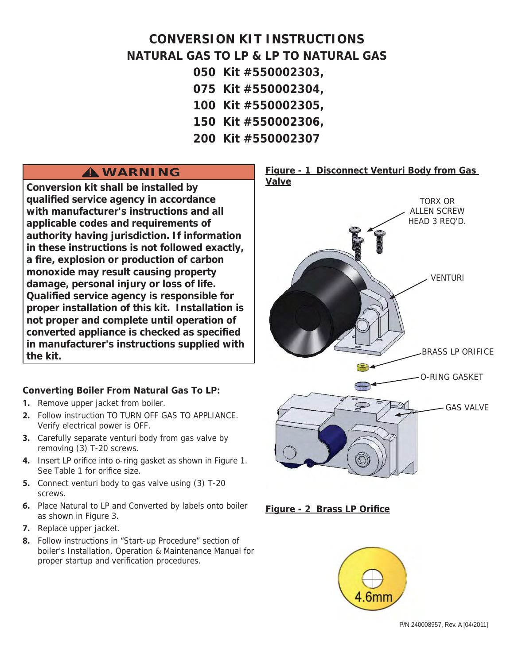# **CONVERSION KIT INSTRUCTIONS NATURAL GAS TO LP & LP TO NATURAL GAS**

- **050 Kit #550002303,**
- **075 Kit #550002304,**
- **100 Kit #550002305,**
- **150 Kit #550002306,**
- **200 Kit #550002307**

# **WARNING !**

**Conversion kit shall be installed by qualifi ed service agency in accordance with manufacturer's instructions and all applicable codes and requirements of authority having jurisdiction. If information in these instructions is not followed exactly, a fi re, explosion or production of carbon monoxide may result causing property damage, personal injury or loss of life. Qualified service agency is responsible for proper installation of this kit. Installation is not proper and complete until operation of converted appliance is checked as specifi ed in manufacturer's instructions supplied with the kit.**

### **Converting Boiler From Natural Gas To LP:**

- 1. Remove upper jacket from boiler.
- **2.** Follow instruction TO TURN OFF GAS TO APPLIANCE. Verify electrical power is OFF.
- **3.** Carefully separate venturi body from gas valve by removing (3) T-20 screws.
- **4.** Insert LP orifice into o-ring gasket as shown in Figure 1. See Table 1 for orifice size.
- **5.** Connect venturi body to gas valve using (3) T-20 screws.
- **6.** Place Natural to LP and Converted by labels onto boiler as shown in Figure 3.
- **7.** Replace upper jacket.
- **8.** Follow instructions in "Start-up Procedure" section of boiler's Installation, Operation & Maintenance Manual for proper startup and verification procedures.







P/N 240008957, Rev. A [04/2011]